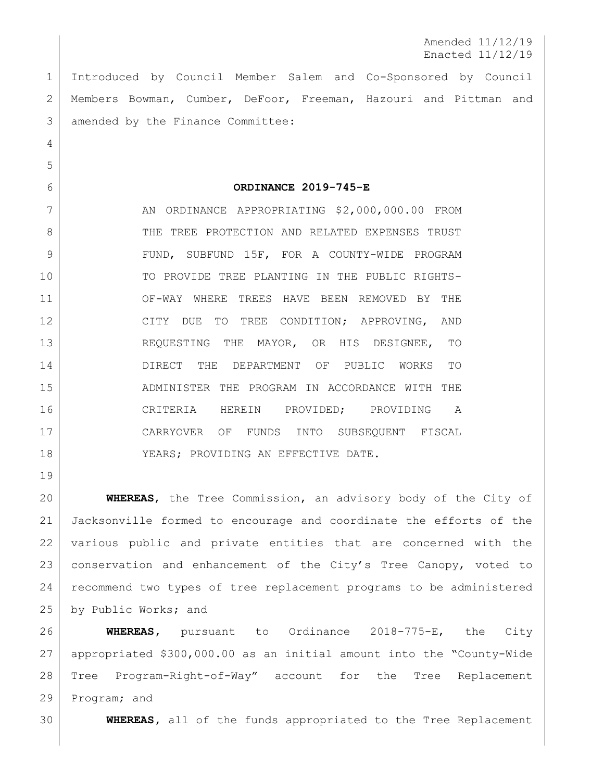Amended 11/12/19 Enacted 11/12/19

 Introduced by Council Member Salem and Co-Sponsored by Council Members Bowman, Cumber, DeFoor, Freeman, Hazouri and Pittman and amended by the Finance Committee:

**ORDINANCE 2019-745-E**

7 AN ORDINANCE APPROPRIATING \$2,000,000.00 FROM 8 THE TREE PROTECTION AND RELATED EXPENSES TRUST 9 | FUND, SUBFUND 15F, FOR A COUNTY-WIDE PROGRAM TO PROVIDE TREE PLANTING IN THE PUBLIC RIGHTS- OF-WAY WHERE TREES HAVE BEEN REMOVED BY THE 12 CITY DUE TO TREE CONDITION; APPROVING, AND REQUESTING THE MAYOR, OR HIS DESIGNEE, TO DIRECT THE DEPARTMENT OF PUBLIC WORKS TO ADMINISTER THE PROGRAM IN ACCORDANCE WITH THE CRITERIA HEREIN PROVIDED; PROVIDING A CARRYOVER OF FUNDS INTO SUBSEQUENT FISCAL 18 | YEARS; PROVIDING AN EFFECTIVE DATE.

 **WHEREAS**, the Tree Commission, an advisory body of the City of Jacksonville formed to encourage and coordinate the efforts of the various public and private entities that are concerned with the conservation and enhancement of the City's Tree Canopy, voted to recommend two types of tree replacement programs to be administered 25 by Public Works; and

 **WHEREAS,** pursuant to Ordinance 2018-775-E, the City appropriated \$300,000.00 as an initial amount into the "County-Wide Tree Program-Right-of-Way" account for the Tree Replacement Program; and

**WHEREAS,** all of the funds appropriated to the Tree Replacement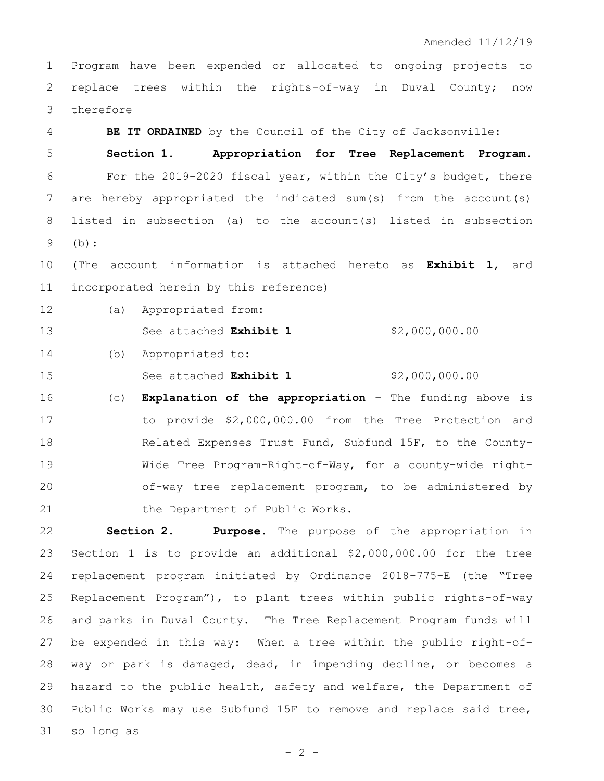## Amended 11/12/19

 Program have been expended or allocated to ongoing projects to 2 replace trees within the rights-of-way in Duval County; now 3 therefore

**BE IT ORDAINED** by the Council of the City of Jacksonville:

 **Section 1. Appropriation for Tree Replacement Program.** For the 2019-2020 fiscal year, within the City's budget, there are hereby appropriated the indicated sum(s) from the account(s) listed in subsection (a) to the account(s) listed in subsection (b):

 (The account information is attached hereto as **Exhibit 1**, and incorporated herein by this reference)

(a) Appropriated from:

13 See attached **Exhibit 1** \$2,000,000.00

(b) Appropriated to:

15 See attached **Exhibit 1** \$2,000,000.00

 (c) **Explanation of the appropriation** – The funding above is 17 to provide \$2,000,000.00 from the Tree Protection and 18 Related Expenses Trust Fund, Subfund 15F, to the County- Wide Tree Program-Right-of-Way, for a county-wide right-20 of-way tree replacement program, to be administered by 21 the Department of Public Works.

 **Section 2. Purpose.** The purpose of the appropriation in Section 1 is to provide an additional \$2,000,000.00 for the tree replacement program initiated by Ordinance 2018-775-E (the "Tree Replacement Program"), to plant trees within public rights-of-way and parks in Duval County. The Tree Replacement Program funds will be expended in this way: When a tree within the public right-of- way or park is damaged, dead, in impending decline, or becomes a hazard to the public health, safety and welfare, the Department of Public Works may use Subfund 15F to remove and replace said tree, so long as